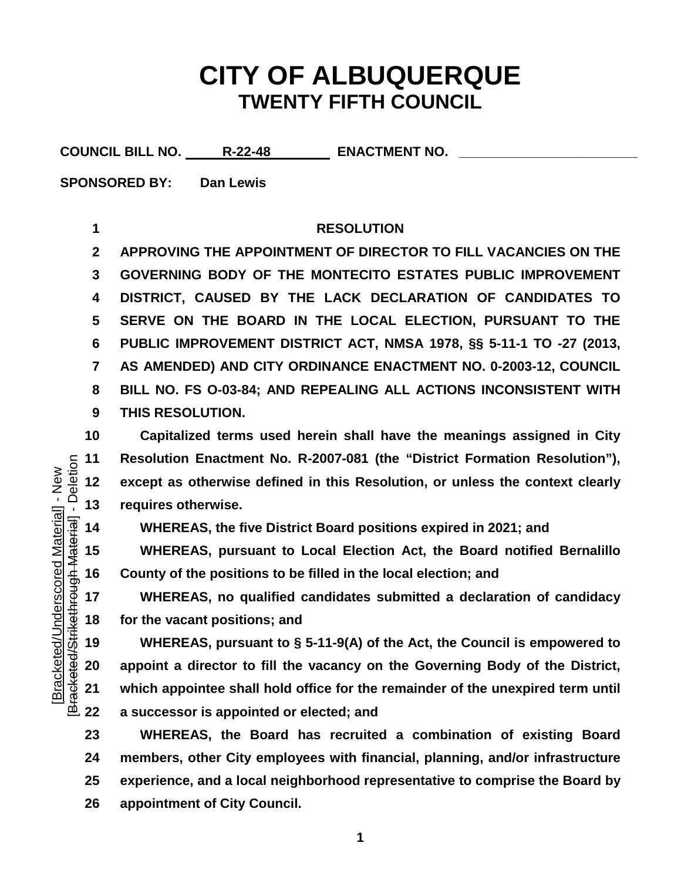## **CITY OF ALBUQUERQUE TWENTY FIFTH COUNCIL**

COUNCIL BILL NO. R-22-48 ENACTMENT NO.

**SPONSORED BY: Dan Lewis**

## **RESOLUTION**

 **APPROVING THE APPOINTMENT OF DIRECTOR TO FILL VACANCIES ON THE GOVERNING BODY OF THE MONTECITO ESTATES PUBLIC IMPROVEMENT DISTRICT, CAUSED BY THE LACK DECLARATION OF CANDIDATES TO SERVE ON THE BOARD IN THE LOCAL ELECTION, PURSUANT TO THE PUBLIC IMPROVEMENT DISTRICT ACT, NMSA 1978, §§ 5-11-1 TO -27 (2013, AS AMENDED) AND CITY ORDINANCE ENACTMENT NO. 0-2003-12, COUNCIL BILL NO. FS O-03-84; AND REPEALING ALL ACTIONS INCONSISTENT WITH THIS RESOLUTION.**

 **Capitalized terms used herein shall have the meanings assigned in City Resolution Enactment No. R-2007-081 (the "District Formation Resolution"), except as otherwise defined in this Resolution, or unless the context clearly** 

**WHEREAS, the five District Board positions expired in 2021; and**

 **WHEREAS, pursuant to Local Election Act, the Board notified Bernalillo County of the positions to be filled in the local election; and** 

 **WHEREAS, no qualified candidates submitted a declaration of candidacy for the vacant positions; and** 

13 requires otherwise.<br>  $\frac{1}{18}$  14 WHEREAS, the fi<br>  $\frac{4}{18}$  15 WHEREAS, purs<br>
16 County of the positi<br>
17 WHEREAS, no c<br>
18 for the vacant positi<br>  $\frac{1}{18}$  19 WHEREAS, purs<br>
20 appoint a director t<br>  $\frac{3}{18}$  21 **WHEREAS, pursuant to § 5-11-9(A) of the Act, the Council is empowered to appoint a director to fill the vacancy on the Governing Body of the District, which appointee shall hold office for the remainder of the unexpired term until a successor is appointed or elected; and** 

 **WHEREAS, the Board has recruited a combination of existing Board members, other City employees with financial, planning, and/or infrastructure experience, and a local neighborhood representative to comprise the Board by appointment of City Council.**